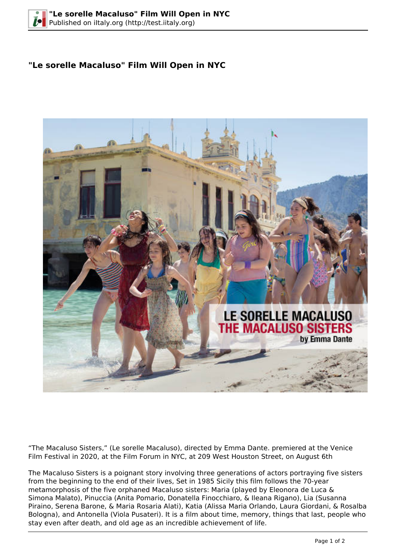## **"Le sorelle Macaluso" Film Will Open in NYC**



"The Macaluso Sisters," (Le sorelle Macaluso), directed by Emma Dante. premiered at the Venice Film Festival in 2020, at the Film Forum in NYC, at 209 West Houston Street, on August 6th

The Macaluso Sisters is a poignant story involving three generations of actors portraying five sisters from the beginning to the end of their lives, Set in 1985 Sicily this film follows the 70-year metamorphosis of the five orphaned Macaluso sisters: Maria (played by Eleonora de Luca & Simona Malato), Pinuccia (Anita Pomario, Donatella Finocchiaro, & Ileana Rigano), Lia (Susanna Piraino, Serena Barone, & Maria Rosaria Alati), Katia (Alissa Maria Orlando, Laura Giordani, & Rosalba Bologna), and Antonella (Viola Pusateri). It is a film about time, memory, things that last, people who stay even after death, and old age as an incredible achievement of life.